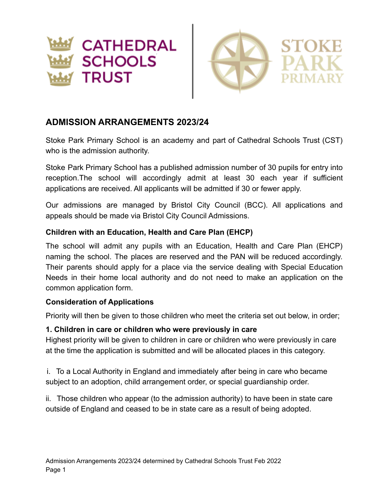



# **ADMISSION ARRANGEMENTS 2023/24**

Stoke Park Primary School is an academy and part of Cathedral Schools Trust (CST) who is the admission authority.

Stoke Park Primary School has a published admission number of 30 pupils for entry into reception.The school will accordingly admit at least 30 each year if sufficient applications are received. All applicants will be admitted if 30 or fewer apply.

Our admissions are managed by Bristol City Council (BCC). All applications and appeals should be made via Bristol City Council Admissions.

#### **Children with an Education, Health and Care Plan (EHCP)**

The school will admit any pupils with an Education, Health and Care Plan (EHCP) naming the school. The places are reserved and the PAN will be reduced accordingly. Their parents should apply for a place via the service dealing with Special Education Needs in their home local authority and do not need to make an application on the common application form.

#### **Consideration of Applications**

Priority will then be given to those children who meet the criteria set out below, in order;

#### **1. Children in care or children who were previously in care**

Highest priority will be given to children in care or children who were previously in care at the time the application is submitted and will be allocated places in this category.

i. To a Local Authority in England and immediately after being in care who became subject to an adoption, child arrangement order, or special guardianship order.

ii. Those children who appear (to the admission authority) to have been in state care outside of England and ceased to be in state care as a result of being adopted.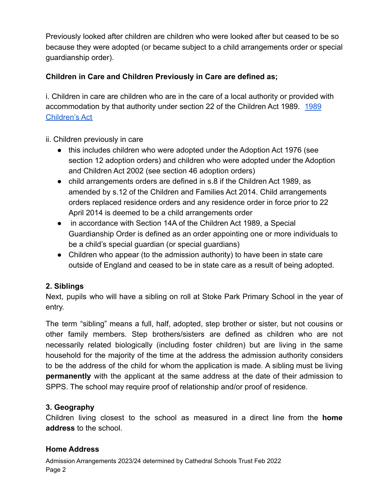Previously looked after children are children who were looked after but ceased to be so because they were adopted (or became subject to a child arrangements order or special guardianship order).

## **Children in Care and Children Previously in Care are defined as;**

i. Children in care are children who are in the care of a local authority or provided with accommodation by that authority under section 22 of the Children Act [1989](https://www.legislation.gov.uk/ukpga/1989/41/contents). 1989 [Children's Act](https://www.legislation.gov.uk/ukpga/1989/41/contents)

ii. Children previously in care

- this includes children who were adopted under the Adoption Act 1976 (see section 12 adoption orders) and children who were adopted under the Adoption and Children Act 2002 (see section 46 adoption orders)
- child arrangements orders are defined in s.8 if the Children Act 1989, as amended by s.12 of the Children and Families Act 2014. Child arrangements orders replaced residence orders and any residence order in force prior to 22 April 2014 is deemed to be a child arrangements order
- in accordance with Section 14A of the Children Act 1989, a Special Guardianship Order is defined as an order appointing one or more individuals to be a child's special guardian (or special guardians)
- Children who appear (to the admission authority) to have been in state care outside of England and ceased to be in state care as a result of being adopted.

## **2. Siblings**

Next, pupils who will have a sibling on roll at Stoke Park Primary School in the year of entry.

The term "sibling" means a full, half, adopted, step brother or sister, but not cousins or other family members. Step brothers/sisters are defined as children who are not necessarily related biologically (including foster children) but are living in the same household for the majority of the time at the address the admission authority considers to be the address of the child for whom the application is made. A sibling must be living **permanently** with the applicant at the same address at the date of their admission to SPPS. The school may require proof of relationship and/or proof of residence.

## **3. Geography**

Children living closest to the school as measured in a direct line from the **home address** to the school.

### **Home Address**

Admission Arrangements 2023/24 determined by Cathedral Schools Trust Feb 2022 Page 2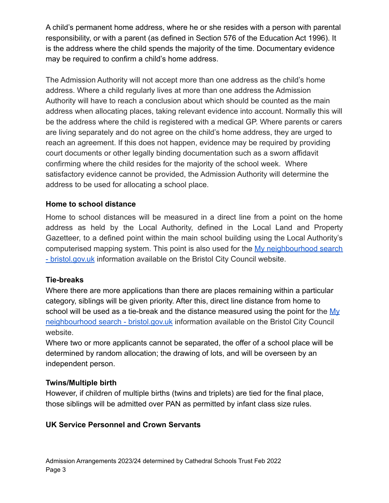A child's permanent home address, where he or she resides with a person with parental responsibility, or with a parent (as defined in Section 576 of the Education Act 1996). It is the address where the child spends the majority of the time. Documentary evidence may be required to confirm a child's home address.

The Admission Authority will not accept more than one address as the child's home address. Where a child regularly lives at more than one address the Admission Authority will have to reach a conclusion about which should be counted as the main address when allocating places, taking relevant evidence into account. Normally this will be the address where the child is registered with a medical GP. Where parents or carers are living separately and do not agree on the child's home address, they are urged to reach an agreement. If this does not happen, evidence may be required by providing court documents or other legally binding documentation such as a sworn affidavit confirming where the child resides for the majority of the school week. Where satisfactory evidence cannot be provided, the Admission Authority will determine the address to be used for allocating a school place.

### **Home to school distance**

Home to school distances will be measured in a direct line from a point on the home address as held by the Local Authority, defined in the Local Land and Property Gazetteer, to a defined point within the main school building using the Local Authority's computerised mapping system. This point is also used for the My [neighbourhood](https://www.bristol.gov.uk/people-communities/my-neighbourhood-search) search [- bristol.gov.uk](https://www.bristol.gov.uk/people-communities/my-neighbourhood-search) information available on the Bristol City Council website.

### **Tie-breaks**

Where there are more applications than there are places remaining within a particular category, siblings will be given priority. After this, direct line distance from home to school will be used as a tie-break and the distance measured using the point for the [My](https://www.bristol.gov.uk/people-communities/my-neighbourhood-search) [neighbourhood search - bristol.gov.uk](https://www.bristol.gov.uk/people-communities/my-neighbourhood-search) information available on the Bristol City Council website.

Where two or more applicants cannot be separated, the offer of a school place will be determined by random allocation; the drawing of lots, and will be overseen by an independent person.

### **Twins/Multiple birth**

However, if children of multiple births (twins and triplets) are tied for the final place, those siblings will be admitted over PAN as permitted by infant class size rules.

### **UK Service Personnel and Crown Servants**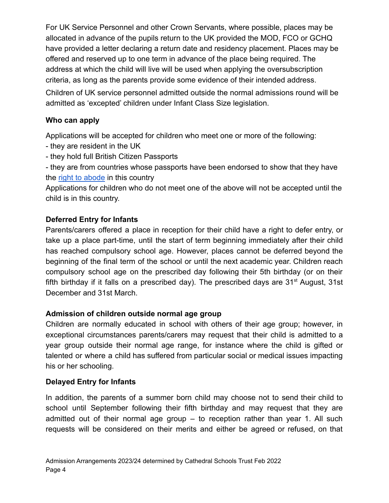For UK Service Personnel and other Crown Servants, where possible, places may be allocated in advance of the pupils return to the UK provided the MOD, FCO or GCHQ have provided a letter declaring a return date and residency placement. Places may be offered and reserved up to one term in advance of the place being required. The address at which the child will live will be used when applying the oversubscription criteria, as long as the parents provide some evidence of their intended address.

Children of UK service personnel admitted outside the normal admissions round will be admitted as 'excepted' children under Infant Class Size legislation.

## **Who can apply**

Applications will be accepted for children who meet one or more of the following:

- they are resident in the UK
- they hold full British Citizen Passports
- they are from countries whose passports have been endorsed to show that they have the [right to abode](https://www.gov.uk/right-of-abode) in this country

Applications for children who do not meet one of the above will not be accepted until the child is in this country.

## **Deferred Entry for Infants**

Parents/carers offered a place in reception for their child have a right to defer entry, or take up a place part-time, until the start of term beginning immediately after their child has reached compulsory school age. However, places cannot be deferred beyond the beginning of the final term of the school or until the next academic year. Children reach compulsory school age on the prescribed day following their 5th birthday (or on their fifth birthday if it falls on a prescribed day). The prescribed days are  $31<sup>st</sup>$  August, 31st December and 31st March.

### **Admission of children outside normal age group**

Children are normally educated in school with others of their age group; however, in exceptional circumstances parents/carers may request that their child is admitted to a year group outside their normal age range, for instance where the child is gifted or talented or where a child has suffered from particular social or medical issues impacting his or her schooling.

### **Delayed Entry for Infants**

In addition, the parents of a summer born child may choose not to send their child to school until September following their fifth birthday and may request that they are admitted out of their normal age group – to reception rather than year 1. All such requests will be considered on their merits and either be agreed or refused, on that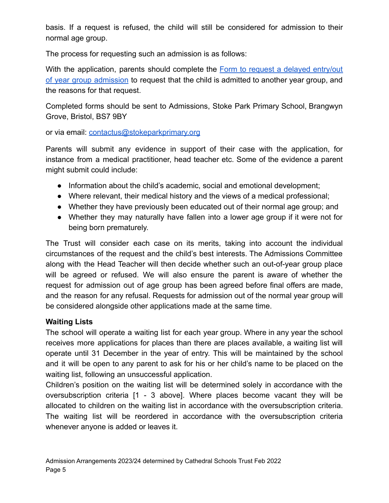basis. If a request is refused, the child will still be considered for admission to their normal age group.

The process for requesting such an admission is as follows:

With the application, parents should complete the Form to request a delayed [entry/out](https://docs.google.com/document/d/1ZRg3O0C4ccFe95nDWSdGmFMxON_xLEhi/edit?usp=sharing&ouid=111971969837556975984&rtpof=true&sd=true) of year group [admission](https://docs.google.com/document/d/1ZRg3O0C4ccFe95nDWSdGmFMxON_xLEhi/edit?usp=sharing&ouid=111971969837556975984&rtpof=true&sd=true) to request that the child is admitted to another year group, and the reasons for that request.

Completed forms should be sent to Admissions, Stoke Park Primary School, Brangwyn Grove, Bristol, BS7 9BY

or via email: [contactus@stokeparkprimary.org](mailto:contactus@stokeparkprimary.org)

Parents will submit any evidence in support of their case with the application, for instance from a medical practitioner, head teacher etc. Some of the evidence a parent might submit could include:

- Information about the child's academic, social and emotional development;
- Where relevant, their medical history and the views of a medical professional;
- Whether they have previously been educated out of their normal age group; and
- Whether they may naturally have fallen into a lower age group if it were not for being born prematurely.

The Trust will consider each case on its merits, taking into account the individual circumstances of the request and the child's best interests. The Admissions Committee along with the Head Teacher will then decide whether such an out-of-year group place will be agreed or refused. We will also ensure the parent is aware of whether the request for admission out of age group has been agreed before final offers are made, and the reason for any refusal. Requests for admission out of the normal year group will be considered alongside other applications made at the same time.

## **Waiting Lists**

The school will operate a waiting list for each year group. Where in any year the school receives more applications for places than there are places available, a waiting list will operate until 31 December in the year of entry. This will be maintained by the school and it will be open to any parent to ask for his or her child's name to be placed on the waiting list, following an unsuccessful application.

Children's position on the waiting list will be determined solely in accordance with the oversubscription criteria [1 - 3 above]. Where places become vacant they will be allocated to children on the waiting list in accordance with the oversubscription criteria. The waiting list will be reordered in accordance with the oversubscription criteria whenever anyone is added or leaves it.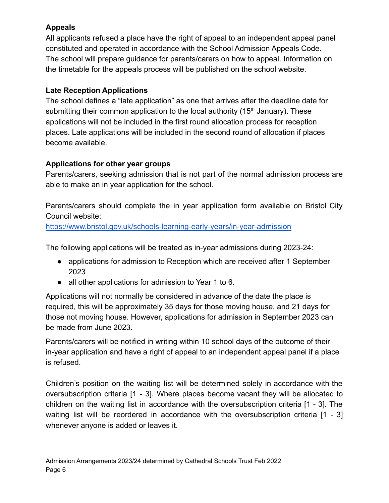# **Appeals**

All applicants refused a place have the right of appeal to an independent appeal panel constituted and operated in accordance with the School Admission Appeals Code. The school will prepare guidance for parents/carers on how to appeal. Information on the timetable for the appeals process will be published on the school website.

# **Late Reception Applications**

The school defines a "late application" as one that arrives after the deadline date for submitting their common application to the local authority ( $15<sup>th</sup>$  January). These applications will not be included in the first round allocation process for reception places. Late applications will be included in the second round of allocation if places become available.

# **Applications for other year groups**

Parents/carers, seeking admission that is not part of the normal admission process are able to make an in year application for the school.

Parents/carers should complete the in year application form available on Bristol City Council website:

<https://www.bristol.gov.uk/schools-learning-early-years/in-year-admission>

The following applications will be treated as in-year admissions during 2023-24:

- applications for admission to Reception which are received after 1 September 2023
- all other applications for admission to Year 1 to 6.

Applications will not normally be considered in advance of the date the place is required, this will be approximately 35 days for those moving house, and 21 days for those not moving house. However, applications for admission in September 2023 can be made from June 2023.

Parents/carers will be notified in writing within 10 school days of the outcome of their in-year application and have a right of appeal to an independent appeal panel if a place is refused.

Children's position on the waiting list will be determined solely in accordance with the oversubscription criteria [1 - 3]. Where places become vacant they will be allocated to children on the waiting list in accordance with the oversubscription criteria [1 - 3]. The waiting list will be reordered in accordance with the oversubscription criteria [1 - 3] whenever anyone is added or leaves it.